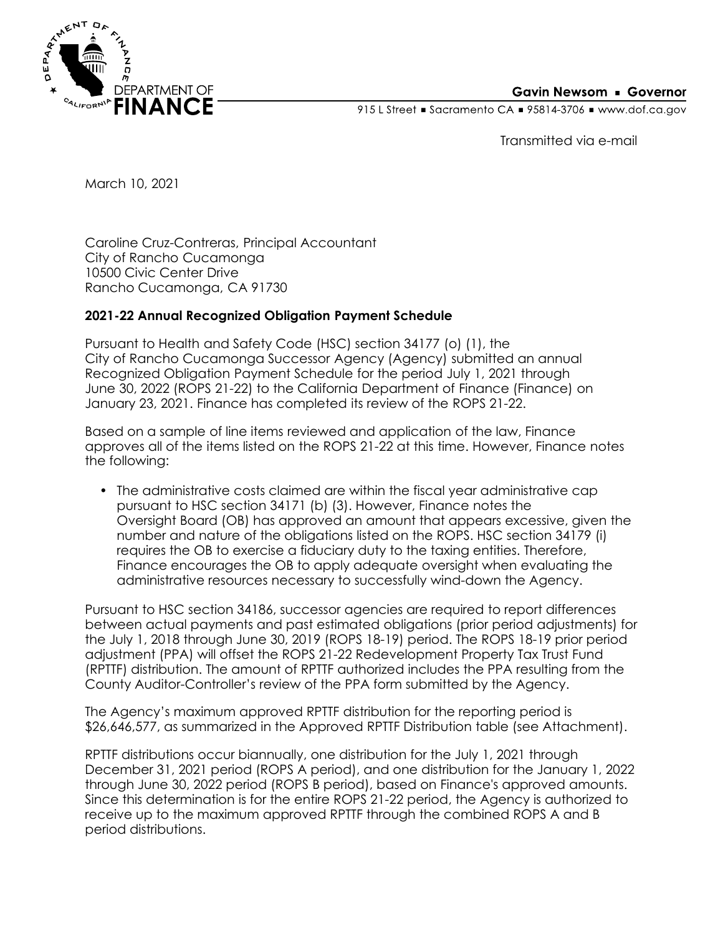

## **Gavin Newsom • Governor**

915 L Street Gacramento CA = 95814-3706 Www.dof.ca.gov

Transmitted via e-mail

March 10, 2021

Caroline Cruz-Contreras, Principal Accountant City of Rancho Cucamonga 10500 Civic Center Drive Rancho Cucamonga, CA 91730

## **2021-22 Annual Recognized Obligation Payment Schedule**

Pursuant to Health and Safety Code (HSC) section 34177 (o) (1), the City of Rancho Cucamonga Successor Agency (Agency) submitted an annual Recognized Obligation Payment Schedule for the period July 1, 2021 through June 30, 2022 (ROPS 21-22) to the California Department of Finance (Finance) on January 23, 2021. Finance has completed its review of the ROPS 21-22.

Based on a sample of line items reviewed and application of the law, Finance approves all of the items listed on the ROPS 21-22 at this time. However, Finance notes the following:

• The administrative costs claimed are within the fiscal year administrative cap pursuant to HSC section 34171 (b) (3). However, Finance notes the Oversight Board (OB) has approved an amount that appears excessive, given the number and nature of the obligations listed on the ROPS. HSC section 34179 (i) requires the OB to exercise a fiduciary duty to the taxing entities. Therefore, Finance encourages the OB to apply adequate oversight when evaluating the administrative resources necessary to successfully wind-down the Agency.

Pursuant to HSC section 34186, successor agencies are required to report differences between actual payments and past estimated obligations (prior period adjustments) for the July 1, 2018 through June 30, 2019 (ROPS 18-19) period. The ROPS 18-19 prior period adjustment (PPA) will offset the ROPS 21-22 Redevelopment Property Tax Trust Fund (RPTTF) distribution. The amount of RPTTF authorized includes the PPA resulting from the County Auditor-Controller's review of the PPA form submitted by the Agency.

The Agency's maximum approved RPTTF distribution for the reporting period is \$26,646,577, as summarized in the Approved RPTTF Distribution table (see Attachment).

RPTTF distributions occur biannually, one distribution for the July 1, 2021 through December 31, 2021 period (ROPS A period), and one distribution for the January 1, 2022 through June 30, 2022 period (ROPS B period), based on Finance's approved amounts. Since this determination is for the entire ROPS 21-22 period, the Agency is authorized to receive up to the maximum approved RPTTF through the combined ROPS A and B period distributions.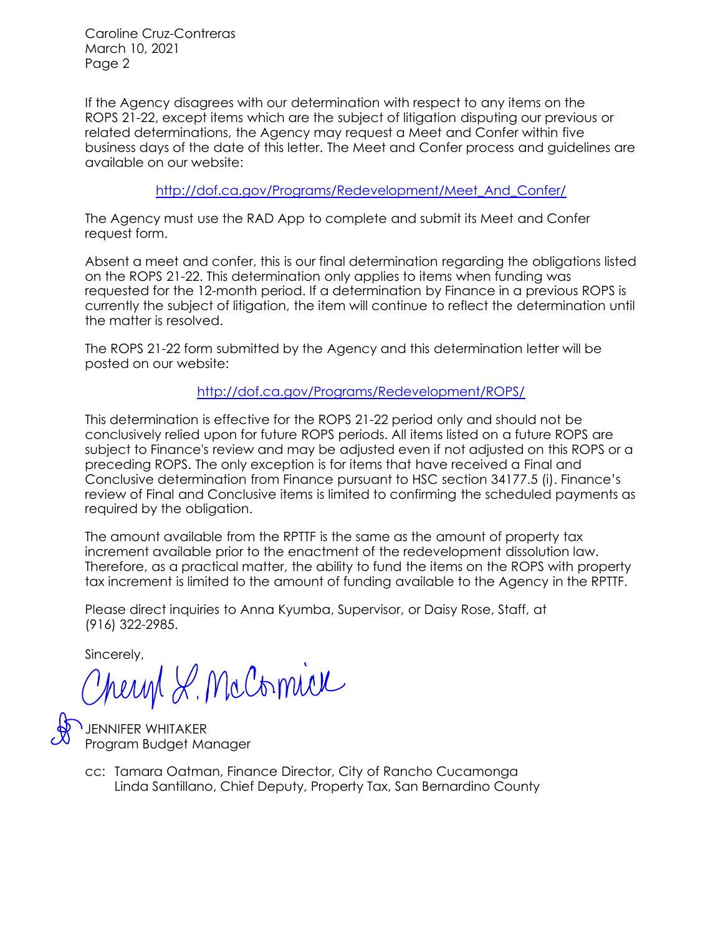Caroline Cruz-Contreras March 10, 2021 Page 2

If the Agency disagrees with our determination with respect to any items on the ROPS 21-22, except items which are the subject of litigation disputing our previous or related determinations, the Agency may request a Meet and Confer within five business days of the date of this letter. The Meet and Confer process and guidelines are available on our website:

[http://dof.ca.gov/Programs/Redevelopment/Meet\\_And\\_Confer/](http://dof.ca.gov/Programs/Redevelopment/Meet_And_Confer/) 

The Agency must use the RAD App to complete and submit its Meet and Confer request form.

Absent a meet and confer, this is our final determination regarding the obligations listed on the ROPS 21-22. This determination only applies to items when funding was requested for the 12-month period. If a determination by Finance in a previous ROPS is currently the subject of litigation, the item will continue to reflect the determination until the matter is resolved.

The ROPS 21-22 form submitted by the Agency and this determination letter will be posted on our website:

<http://dof.ca.gov/Programs/Redevelopment/ROPS/>

This determination is effective for the ROPS 21-22 period only and should not be conclusively relied upon for future ROPS periods. All items listed on a future ROPS are subject to Finance's review and may be adjusted even if not adjusted on this ROPS or a preceding ROPS. The only exception is for items that have received a Final and Conclusive determination from Finance pursuant to HSC section 34177.5 (i). Finance's review of Final and Conclusive items is limited to confirming the scheduled payments as required by the obligation.

The amount available from the RPTTF is the same as the amount of property tax increment available prior to the enactment of the redevelopment dissolution law. Therefore, as a practical matter, the ability to fund the items on the ROPS with property tax increment is limited to the amount of funding available to the Agency in the RPTTF.

Please direct inquiries to Anna Kyumba, Supervisor, or Daisy Rose, Staff, at (916) 322-2985.

Sincerely,

Cheryl L. McComice

JENNIFER WHITAKER Program Budget Manager

Linda Santillano, Chief Deputy, Property Tax, San Bernardino County cc: Tamara Oatman, Finance Director, City of Rancho Cucamonga